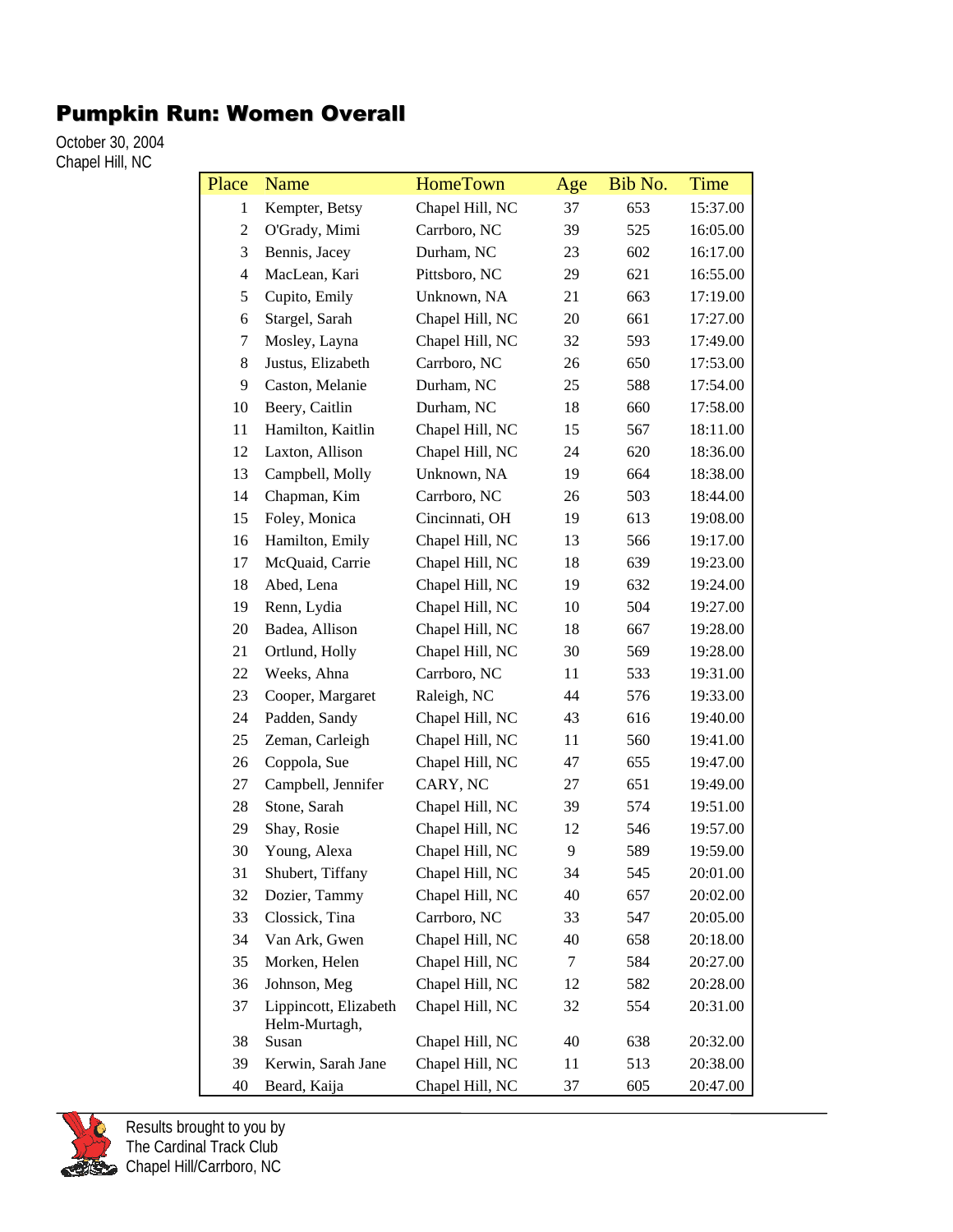## Pumpkin Run: Women Overall

October 30, 2004 Chapel Hill, NC

| Place          | Name                                   | <b>HomeTown</b> | Age | Bib No. | <b>Time</b> |
|----------------|----------------------------------------|-----------------|-----|---------|-------------|
| $\mathbf{1}$   | Kempter, Betsy                         | Chapel Hill, NC | 37  | 653     | 15:37.00    |
| 2              | O'Grady, Mimi                          | Carrboro, NC    | 39  | 525     | 16:05.00    |
| 3              | Bennis, Jacey                          | Durham, NC      | 23  | 602     | 16:17.00    |
| $\overline{4}$ | MacLean, Kari                          | Pittsboro, NC   | 29  | 621     | 16:55.00    |
| 5              | Cupito, Emily                          | Unknown, NA     | 21  | 663     | 17:19.00    |
| 6              | Stargel, Sarah                         | Chapel Hill, NC | 20  | 661     | 17:27.00    |
| 7              | Mosley, Layna                          | Chapel Hill, NC | 32  | 593     | 17:49.00    |
| 8              | Justus, Elizabeth                      | Carrboro, NC    | 26  | 650     | 17:53.00    |
| 9              | Caston, Melanie                        | Durham, NC      | 25  | 588     | 17:54.00    |
| 10             | Beery, Caitlin                         | Durham, NC      | 18  | 660     | 17:58.00    |
| 11             | Hamilton, Kaitlin                      | Chapel Hill, NC | 15  | 567     | 18:11.00    |
| 12             | Laxton, Allison                        | Chapel Hill, NC | 24  | 620     | 18:36.00    |
| 13             | Campbell, Molly                        | Unknown, NA     | 19  | 664     | 18:38.00    |
| 14             | Chapman, Kim                           | Carrboro, NC    | 26  | 503     | 18:44.00    |
| 15             | Foley, Monica                          | Cincinnati, OH  | 19  | 613     | 19:08.00    |
| 16             | Hamilton, Emily                        | Chapel Hill, NC | 13  | 566     | 19:17.00    |
| 17             | McQuaid, Carrie                        | Chapel Hill, NC | 18  | 639     | 19:23.00    |
| 18             | Abed, Lena                             | Chapel Hill, NC | 19  | 632     | 19:24.00    |
| 19             | Renn, Lydia                            | Chapel Hill, NC | 10  | 504     | 19:27.00    |
| $20\,$         | Badea, Allison                         | Chapel Hill, NC | 18  | 667     | 19:28.00    |
| 21             | Ortlund, Holly                         | Chapel Hill, NC | 30  | 569     | 19:28.00    |
| 22             | Weeks, Ahna                            | Carrboro, NC    | 11  | 533     | 19:31.00    |
| 23             | Cooper, Margaret                       | Raleigh, NC     | 44  | 576     | 19:33.00    |
| 24             | Padden, Sandy                          | Chapel Hill, NC | 43  | 616     | 19:40.00    |
| 25             | Zeman, Carleigh                        | Chapel Hill, NC | 11  | 560     | 19:41.00    |
| 26             | Coppola, Sue                           | Chapel Hill, NC | 47  | 655     | 19:47.00    |
| 27             | Campbell, Jennifer                     | CARY, NC        | 27  | 651     | 19:49.00    |
| $28\,$         | Stone, Sarah                           | Chapel Hill, NC | 39  | 574     | 19:51.00    |
| 29             | Shay, Rosie                            | Chapel Hill, NC | 12  | 546     | 19:57.00    |
| 30             | Young, Alexa                           | Chapel Hill, NC | 9   | 589     | 19:59.00    |
| 31             | Shubert, Tiffany                       | Chapel Hill, NC | 34  | 545     | 20:01.00    |
| 32             | Dozier, Tammy                          | Chapel Hill, NC | 40  | 657     | 20:02.00    |
| 33             | Clossick, Tina                         | Carrboro, NC    | 33  | 547     | 20:05.00    |
| 34             | Van Ark, Gwen                          | Chapel Hill, NC | 40  | 658     | 20:18.00    |
| 35             | Morken, Helen                          | Chapel Hill, NC | 7   | 584     | 20:27.00    |
| 36             | Johnson, Meg                           | Chapel Hill, NC | 12  | 582     | 20:28.00    |
| 37             | Lippincott, Elizabeth<br>Helm-Murtagh, | Chapel Hill, NC | 32  | 554     | 20:31.00    |
| 38             | Susan                                  | Chapel Hill, NC | 40  | 638     | 20:32.00    |
| 39             | Kerwin, Sarah Jane                     | Chapel Hill, NC | 11  | 513     | 20:38.00    |
| 40             | Beard, Kaija                           | Chapel Hill, NC | 37  | 605     | 20:47.00    |

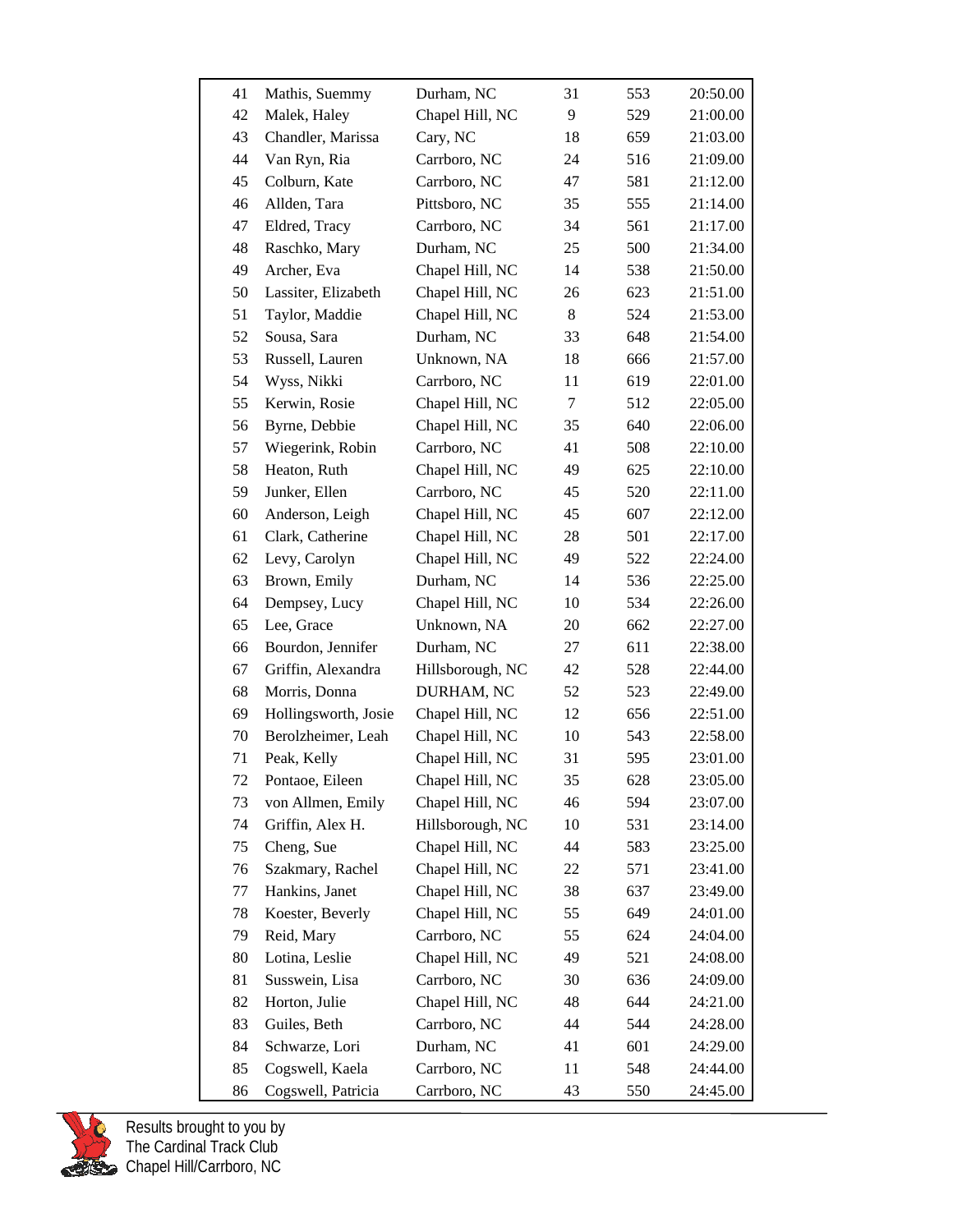| 41 | Mathis, Suemmy       | Durham, NC       | 31 | 553 | 20:50.00 |
|----|----------------------|------------------|----|-----|----------|
| 42 | Malek, Haley         | Chapel Hill, NC  | 9  | 529 | 21:00.00 |
| 43 | Chandler, Marissa    | Cary, NC         | 18 | 659 | 21:03.00 |
| 44 | Van Ryn, Ria         | Carrboro, NC     | 24 | 516 | 21:09.00 |
| 45 | Colburn, Kate        | Carrboro, NC     | 47 | 581 | 21:12.00 |
| 46 | Allden, Tara         | Pittsboro, NC    | 35 | 555 | 21:14.00 |
| 47 | Eldred, Tracy        | Carrboro, NC     | 34 | 561 | 21:17.00 |
| 48 | Raschko, Mary        | Durham, NC       | 25 | 500 | 21:34.00 |
| 49 | Archer, Eva          | Chapel Hill, NC  | 14 | 538 | 21:50.00 |
| 50 | Lassiter, Elizabeth  | Chapel Hill, NC  | 26 | 623 | 21:51.00 |
| 51 | Taylor, Maddie       | Chapel Hill, NC  | 8  | 524 | 21:53.00 |
| 52 | Sousa, Sara          | Durham, NC       | 33 | 648 | 21:54.00 |
| 53 | Russell, Lauren      | Unknown, NA      | 18 | 666 | 21:57.00 |
| 54 | Wyss, Nikki          | Carrboro, NC     | 11 | 619 | 22:01.00 |
| 55 | Kerwin, Rosie        | Chapel Hill, NC  | 7  | 512 | 22:05.00 |
| 56 | Byrne, Debbie        | Chapel Hill, NC  | 35 | 640 | 22:06.00 |
| 57 | Wiegerink, Robin     | Carrboro, NC     | 41 | 508 | 22:10.00 |
| 58 | Heaton, Ruth         | Chapel Hill, NC  | 49 | 625 | 22:10.00 |
| 59 | Junker, Ellen        | Carrboro, NC     | 45 | 520 | 22:11.00 |
| 60 | Anderson, Leigh      | Chapel Hill, NC  | 45 | 607 | 22:12.00 |
| 61 | Clark, Catherine     | Chapel Hill, NC  | 28 | 501 | 22:17.00 |
| 62 | Levy, Carolyn        | Chapel Hill, NC  | 49 | 522 | 22:24.00 |
| 63 | Brown, Emily         | Durham, NC       | 14 | 536 | 22:25.00 |
| 64 | Dempsey, Lucy        | Chapel Hill, NC  | 10 | 534 | 22:26.00 |
| 65 | Lee, Grace           | Unknown, NA      | 20 | 662 | 22:27.00 |
| 66 | Bourdon, Jennifer    | Durham, NC       | 27 | 611 | 22:38.00 |
| 67 | Griffin, Alexandra   | Hillsborough, NC | 42 | 528 | 22:44.00 |
| 68 | Morris, Donna        | DURHAM, NC       | 52 | 523 | 22:49.00 |
| 69 | Hollingsworth, Josie | Chapel Hill, NC  | 12 | 656 | 22:51.00 |
| 70 | Berolzheimer, Leah   | Chapel Hill, NC  | 10 | 543 | 22:58.00 |
| 71 | Peak, Kelly          | Chapel Hill, NC  | 31 | 595 | 23:01.00 |
| 72 | Pontaoe, Eileen      | Chapel Hill, NC  | 35 | 628 | 23:05.00 |
| 73 | von Allmen, Emily    | Chapel Hill, NC  | 46 | 594 | 23:07.00 |
| 74 | Griffin, Alex H.     | Hillsborough, NC | 10 | 531 | 23:14.00 |
| 75 | Cheng, Sue           | Chapel Hill, NC  | 44 | 583 | 23:25.00 |
| 76 | Szakmary, Rachel     | Chapel Hill, NC  | 22 | 571 | 23:41.00 |
| 77 | Hankins, Janet       | Chapel Hill, NC  | 38 | 637 | 23:49.00 |
| 78 | Koester, Beverly     | Chapel Hill, NC  | 55 | 649 | 24:01.00 |
| 79 | Reid, Mary           | Carrboro, NC     | 55 | 624 | 24:04.00 |
| 80 | Lotina, Leslie       | Chapel Hill, NC  | 49 | 521 | 24:08.00 |
| 81 | Susswein, Lisa       | Carrboro, NC     | 30 | 636 | 24:09.00 |
| 82 | Horton, Julie        | Chapel Hill, NC  | 48 | 644 | 24:21.00 |
| 83 | Guiles, Beth         | Carrboro, NC     | 44 | 544 | 24:28.00 |
| 84 | Schwarze, Lori       | Durham, NC       | 41 | 601 | 24:29.00 |
| 85 | Cogswell, Kaela      | Carrboro, NC     | 11 | 548 | 24:44.00 |
| 86 | Cogswell, Patricia   | Carrboro, NC     | 43 | 550 | 24:45.00 |

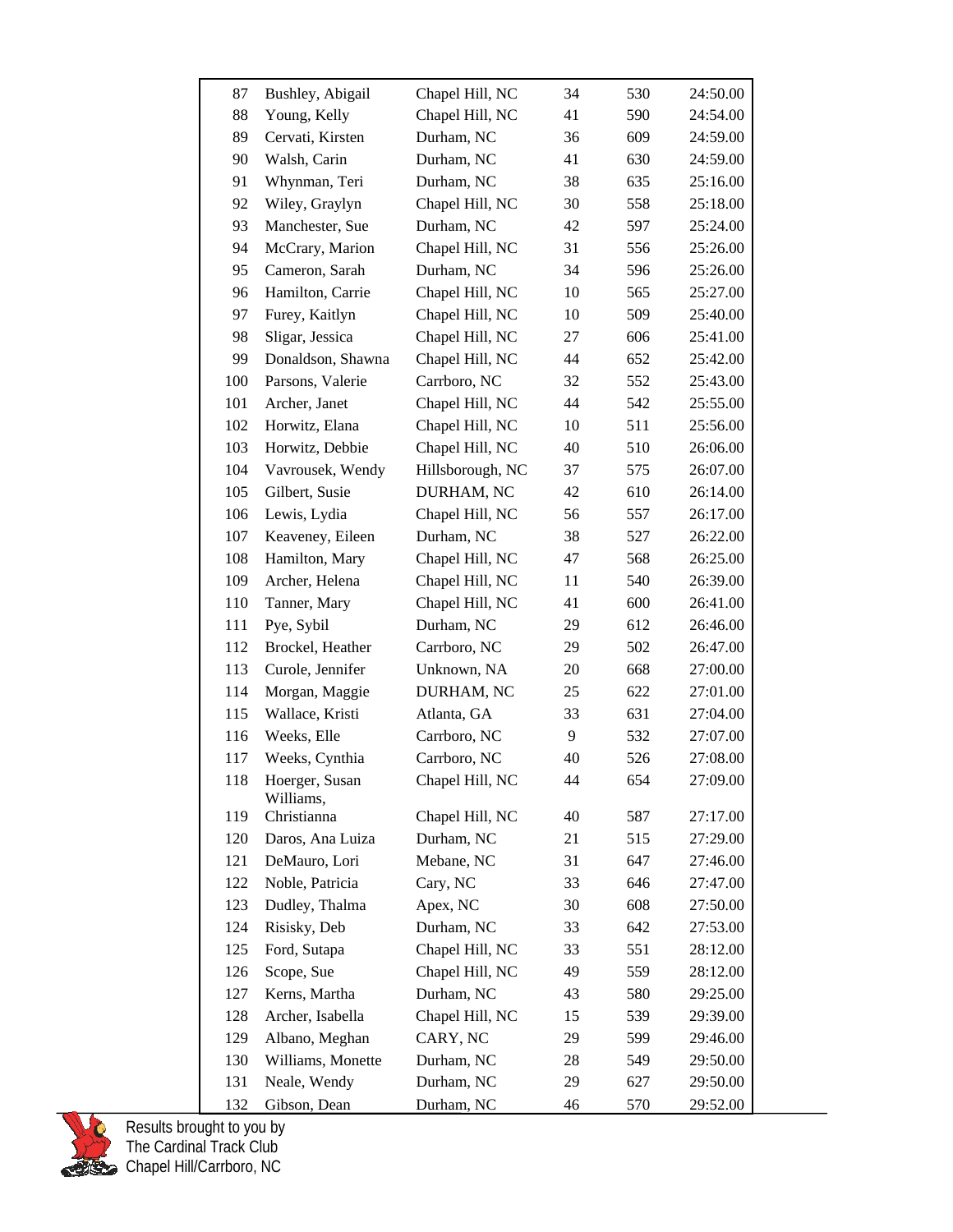| 87  | Bushley, Abigail            | Chapel Hill, NC  | 34 | 530 | 24:50.00 |
|-----|-----------------------------|------------------|----|-----|----------|
| 88  | Young, Kelly                | Chapel Hill, NC  | 41 | 590 | 24:54.00 |
| 89  | Cervati, Kirsten            | Durham, NC       | 36 | 609 | 24:59.00 |
| 90  | Walsh, Carin                | Durham, NC       | 41 | 630 | 24:59.00 |
| 91  | Whynman, Teri               | Durham, NC       | 38 | 635 | 25:16.00 |
| 92  | Wiley, Graylyn              | Chapel Hill, NC  | 30 | 558 | 25:18.00 |
| 93  | Manchester, Sue             | Durham, NC       | 42 | 597 | 25:24.00 |
| 94  | McCrary, Marion             | Chapel Hill, NC  | 31 | 556 | 25:26.00 |
| 95  | Cameron, Sarah              | Durham, NC       | 34 | 596 | 25:26.00 |
| 96  | Hamilton, Carrie            | Chapel Hill, NC  | 10 | 565 | 25:27.00 |
| 97  | Furey, Kaitlyn              | Chapel Hill, NC  | 10 | 509 | 25:40.00 |
| 98  | Sligar, Jessica             | Chapel Hill, NC  | 27 | 606 | 25:41.00 |
| 99  | Donaldson, Shawna           | Chapel Hill, NC  | 44 | 652 | 25:42.00 |
| 100 | Parsons, Valerie            | Carrboro, NC     | 32 | 552 | 25:43.00 |
| 101 | Archer, Janet               | Chapel Hill, NC  | 44 | 542 | 25:55.00 |
| 102 | Horwitz, Elana              | Chapel Hill, NC  | 10 | 511 | 25:56.00 |
| 103 | Horwitz, Debbie             | Chapel Hill, NC  | 40 | 510 | 26:06.00 |
| 104 | Vavrousek, Wendy            | Hillsborough, NC | 37 | 575 | 26:07.00 |
| 105 | Gilbert, Susie              | DURHAM, NC       | 42 | 610 | 26:14.00 |
| 106 | Lewis, Lydia                | Chapel Hill, NC  | 56 | 557 | 26:17.00 |
| 107 | Keaveney, Eileen            | Durham, NC       | 38 | 527 | 26:22.00 |
| 108 | Hamilton, Mary              | Chapel Hill, NC  | 47 | 568 | 26:25.00 |
| 109 | Archer, Helena              | Chapel Hill, NC  | 11 | 540 | 26:39.00 |
| 110 | Tanner, Mary                | Chapel Hill, NC  | 41 | 600 | 26:41.00 |
| 111 | Pye, Sybil                  | Durham, NC       | 29 | 612 | 26:46.00 |
| 112 | Brockel, Heather            | Carrboro, NC     | 29 | 502 | 26:47.00 |
| 113 | Curole, Jennifer            | Unknown, NA      | 20 | 668 | 27:00.00 |
| 114 | Morgan, Maggie              | DURHAM, NC       | 25 | 622 | 27:01.00 |
| 115 | Wallace, Kristi             | Atlanta, GA      | 33 | 631 | 27:04.00 |
| 116 | Weeks, Elle                 | Carrboro, NC     | 9  | 532 | 27:07.00 |
| 117 | Weeks, Cynthia              | Carrboro, NC     | 40 | 526 | 27:08.00 |
| 118 | Hoerger, Susan<br>Williams, | Chapel Hill, NC  | 44 | 654 | 27:09.00 |
| 119 | Christianna                 | Chapel Hill, NC  | 40 | 587 | 27:17.00 |
| 120 | Daros, Ana Luiza            | Durham, NC       | 21 | 515 | 27:29.00 |
| 121 | DeMauro, Lori               | Mebane, NC       | 31 | 647 | 27:46.00 |
| 122 | Noble, Patricia             | Cary, NC         | 33 | 646 | 27:47.00 |
| 123 | Dudley, Thalma              | Apex, NC         | 30 | 608 | 27:50.00 |
| 124 | Risisky, Deb                | Durham, NC       | 33 | 642 | 27:53.00 |
| 125 | Ford, Sutapa                | Chapel Hill, NC  | 33 | 551 | 28:12.00 |
| 126 | Scope, Sue                  | Chapel Hill, NC  | 49 | 559 | 28:12.00 |
| 127 | Kerns, Martha               | Durham, NC       | 43 | 580 | 29:25.00 |
| 128 | Archer, Isabella            | Chapel Hill, NC  | 15 | 539 | 29:39.00 |
| 129 | Albano, Meghan              | CARY, NC         | 29 | 599 | 29:46.00 |
| 130 | Williams, Monette           | Durham, NC       | 28 | 549 | 29:50.00 |
| 131 | Neale, Wendy                | Durham, NC       | 29 | 627 | 29:50.00 |
| 132 | Gibson, Dean                | Durham, NC       | 46 | 570 | 29:52.00 |

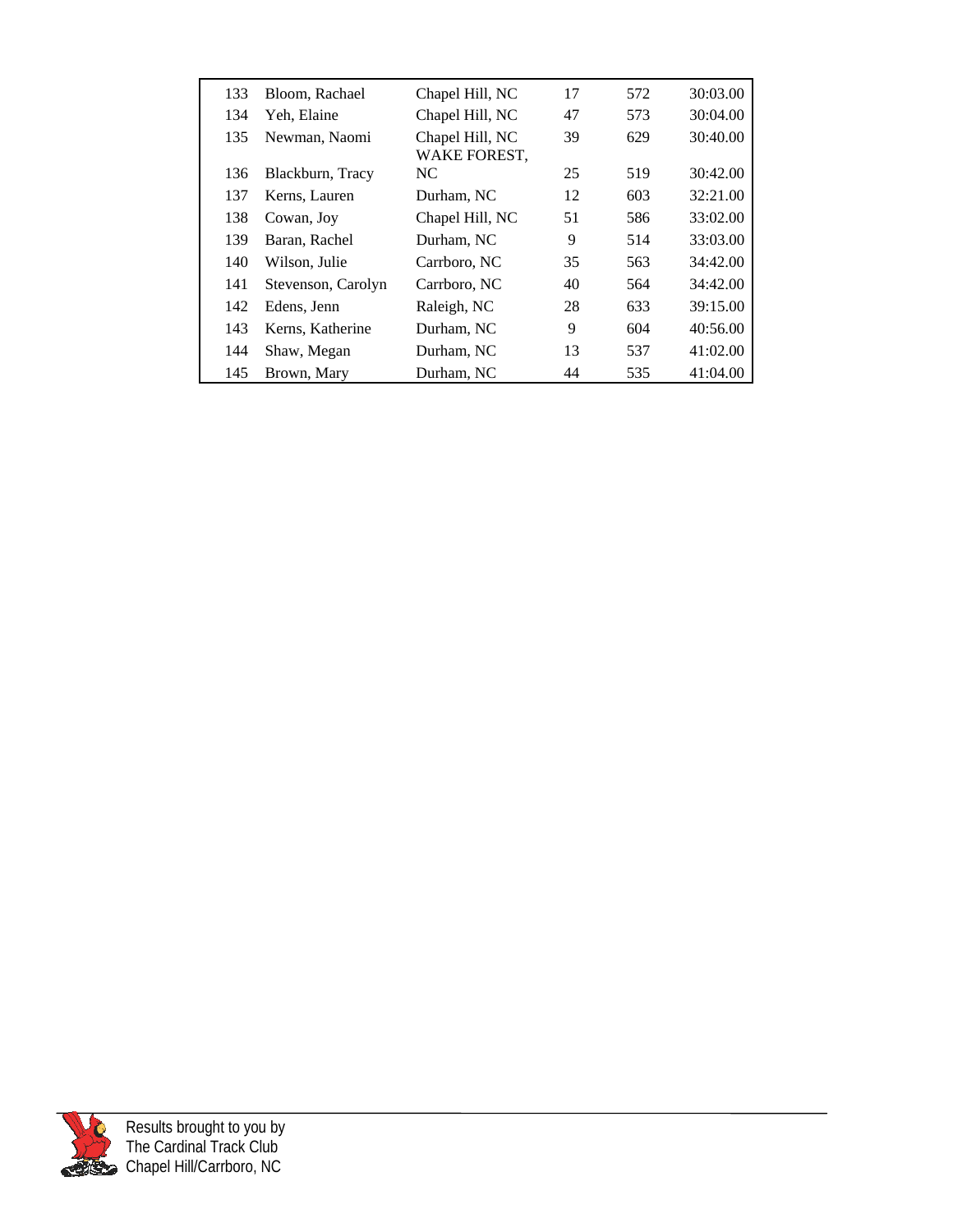| 133 | Bloom, Rachael     | Chapel Hill, NC                 | 17 | 572 | 30:03.00 |
|-----|--------------------|---------------------------------|----|-----|----------|
| 134 | Yeh, Elaine        | Chapel Hill, NC                 | 47 | 573 | 30:04.00 |
| 135 | Newman, Naomi      | Chapel Hill, NC<br>WAKE FOREST, | 39 | 629 | 30:40.00 |
| 136 | Blackburn, Tracy   | NC.                             | 25 | 519 | 30:42.00 |
| 137 | Kerns, Lauren      | Durham, NC                      | 12 | 603 | 32:21.00 |
| 138 | Cowan, Joy         | Chapel Hill, NC                 | 51 | 586 | 33:02.00 |
| 139 | Baran, Rachel      | Durham, NC                      | 9  | 514 | 33:03.00 |
| 140 | Wilson, Julie      | Carrboro, NC                    | 35 | 563 | 34:42.00 |
| 141 | Stevenson, Carolyn | Carrboro, NC                    | 40 | 564 | 34:42.00 |
| 142 | Edens, Jenn        | Raleigh, NC                     | 28 | 633 | 39:15.00 |
| 143 | Kerns, Katherine   | Durham, NC                      | 9  | 604 | 40:56.00 |
| 144 | Shaw, Megan        | Durham, NC                      | 13 | 537 | 41:02.00 |
| 145 | Brown, Mary        | Durham, NC                      | 44 | 535 | 41:04.00 |

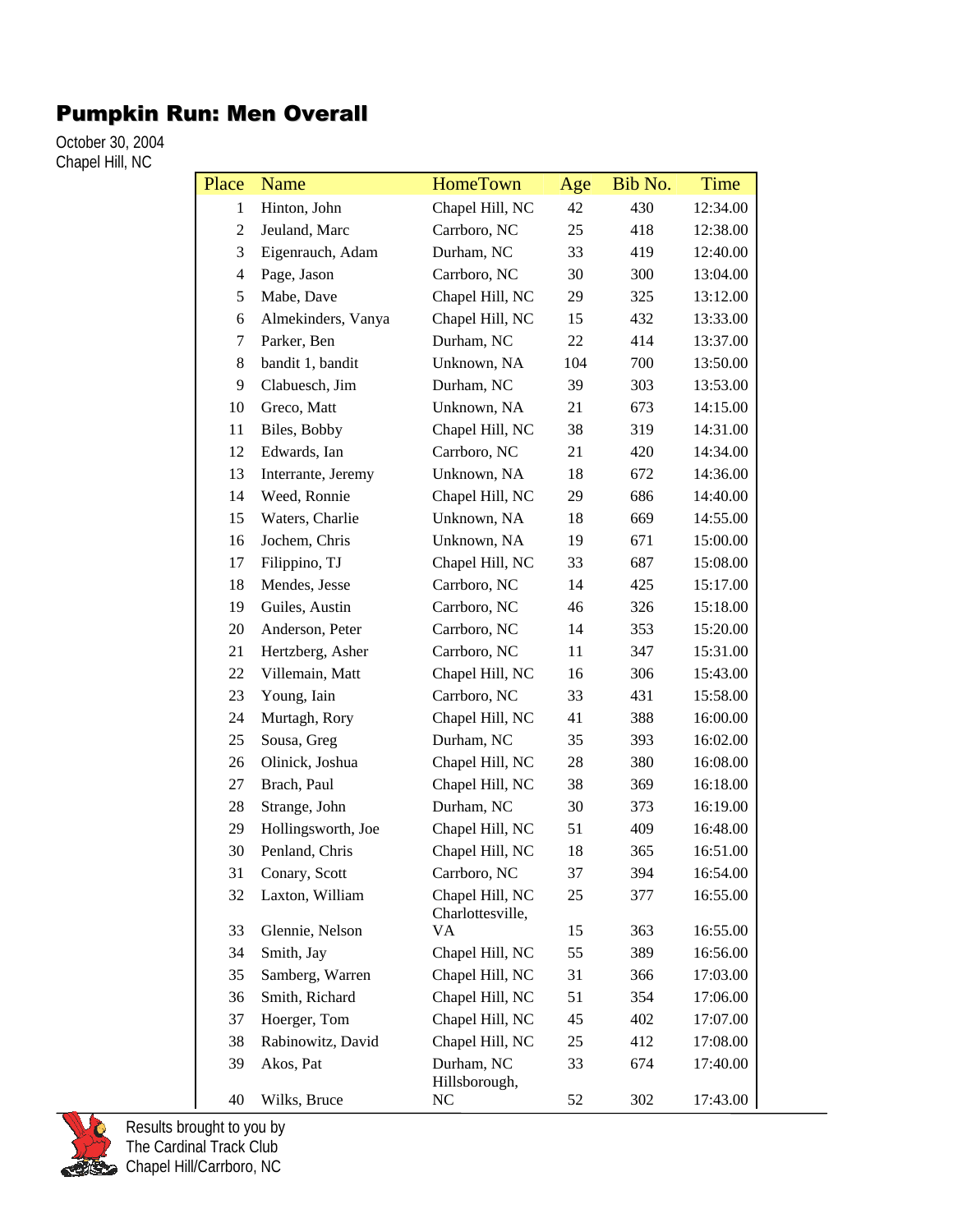## Pumpkin Run: Men Overall

October 30, 2004 Chapel Hill, NC

| Place          | <b>Name</b>        | <b>HomeTown</b>                     | Age | Bib No. | Time     |
|----------------|--------------------|-------------------------------------|-----|---------|----------|
| 1              | Hinton, John       | Chapel Hill, NC                     | 42  | 430     | 12:34.00 |
| $\overline{2}$ | Jeuland, Marc      | Carrboro, NC                        | 25  | 418     | 12:38.00 |
| 3              | Eigenrauch, Adam   | Durham, NC                          | 33  | 419     | 12:40.00 |
| 4              | Page, Jason        | Carrboro, NC                        | 30  | 300     | 13:04.00 |
| 5              | Mabe, Dave         | Chapel Hill, NC                     | 29  | 325     | 13:12.00 |
| 6              | Almekinders, Vanya | Chapel Hill, NC                     | 15  | 432     | 13:33.00 |
| 7              | Parker, Ben        | Durham, NC                          | 22  | 414     | 13:37.00 |
| 8              | bandit 1, bandit   | Unknown, NA                         | 104 | 700     | 13:50.00 |
| 9              | Clabuesch, Jim     | Durham, NC                          | 39  | 303     | 13:53.00 |
| 10             | Greco, Matt        | Unknown, NA                         | 21  | 673     | 14:15.00 |
| 11             | Biles, Bobby       | Chapel Hill, NC                     | 38  | 319     | 14:31.00 |
| 12             | Edwards, Ian       | Carrboro, NC                        | 21  | 420     | 14:34.00 |
| 13             | Interrante, Jeremy | Unknown, NA                         | 18  | 672     | 14:36.00 |
| 14             | Weed, Ronnie       | Chapel Hill, NC                     | 29  | 686     | 14:40.00 |
| 15             | Waters, Charlie    | Unknown, NA                         | 18  | 669     | 14:55.00 |
| 16             | Jochem, Chris      | Unknown, NA                         | 19  | 671     | 15:00.00 |
| 17             | Filippino, TJ      | Chapel Hill, NC                     | 33  | 687     | 15:08.00 |
| 18             | Mendes, Jesse      | Carrboro, NC                        | 14  | 425     | 15:17.00 |
| 19             | Guiles, Austin     | Carrboro, NC                        | 46  | 326     | 15:18.00 |
| 20             | Anderson, Peter    | Carrboro, NC                        | 14  | 353     | 15:20.00 |
| 21             | Hertzberg, Asher   | Carrboro, NC                        | 11  | 347     | 15:31.00 |
| 22             | Villemain, Matt    | Chapel Hill, NC                     | 16  | 306     | 15:43.00 |
| 23             | Young, Iain        | Carrboro, NC                        | 33  | 431     | 15:58.00 |
| 24             | Murtagh, Rory      | Chapel Hill, NC                     | 41  | 388     | 16:00.00 |
| 25             | Sousa, Greg        | Durham, NC                          | 35  | 393     | 16:02.00 |
| 26             | Olinick, Joshua    | Chapel Hill, NC                     | 28  | 380     | 16:08.00 |
| 27             | Brach, Paul        | Chapel Hill, NC                     | 38  | 369     | 16:18.00 |
| 28             | Strange, John      | Durham, NC                          | 30  | 373     | 16:19.00 |
| 29             | Hollingsworth, Joe | Chapel Hill, NC                     | 51  | 409     | 16:48.00 |
| 30             | Penland, Chris     | Chapel Hill, NC                     | 18  | 365     | 16:51.00 |
| 31             | Conary, Scott      | Carrboro, NC                        | 37  | 394     | 16:54.00 |
| 32             | Laxton, William    | Chapel Hill, NC<br>Charlottesville, | 25  | 377     | 16:55.00 |
| 33             | Glennie, Nelson    | <b>VA</b>                           | 15  | 363     | 16:55.00 |
| 34             | Smith, Jay         | Chapel Hill, NC                     | 55  | 389     | 16:56.00 |
| 35             | Samberg, Warren    | Chapel Hill, NC                     | 31  | 366     | 17:03.00 |
| 36             | Smith, Richard     | Chapel Hill, NC                     | 51  | 354     | 17:06.00 |
| 37             | Hoerger, Tom       | Chapel Hill, NC                     | 45  | 402     | 17:07.00 |
| 38             | Rabinowitz, David  | Chapel Hill, NC                     | 25  | 412     | 17:08.00 |
| 39             | Akos, Pat          | Durham, NC<br>Hillsborough,         | 33  | 674     | 17:40.00 |
| 40             | Wilks, Bruce       | NC                                  | 52  | 302     | 17:43.00 |

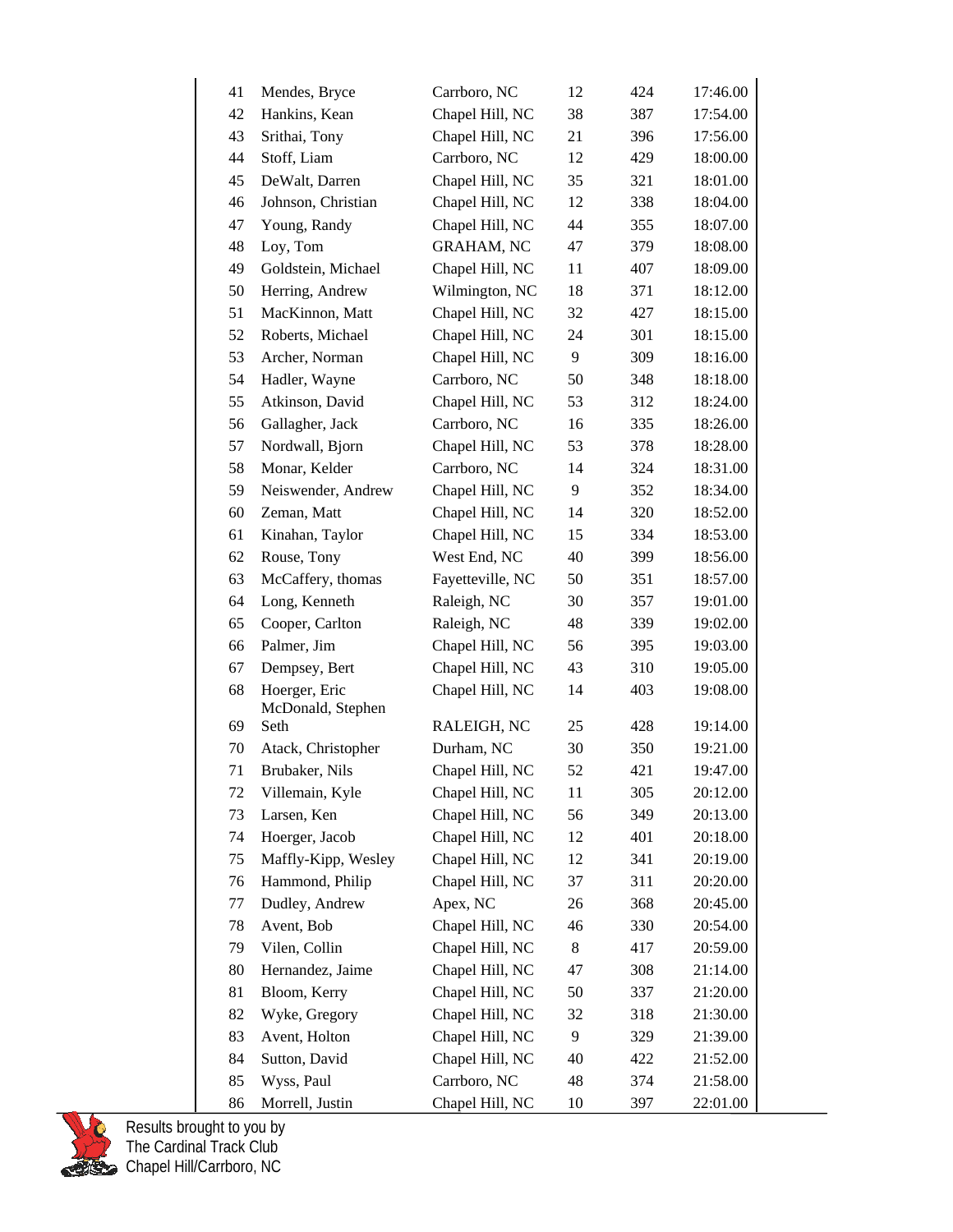| 41 | Mendes, Bryce                      | Carrboro, NC      | 12 | 424 | 17:46.00 |  |
|----|------------------------------------|-------------------|----|-----|----------|--|
| 42 | Hankins, Kean                      | Chapel Hill, NC   | 38 | 387 | 17:54.00 |  |
| 43 | Srithai, Tony                      | Chapel Hill, NC   | 21 | 396 | 17:56.00 |  |
| 44 | Stoff, Liam                        | Carrboro, NC      | 12 | 429 | 18:00.00 |  |
| 45 | DeWalt, Darren                     | Chapel Hill, NC   | 35 | 321 | 18:01.00 |  |
| 46 | Johnson, Christian                 | Chapel Hill, NC   | 12 | 338 | 18:04.00 |  |
| 47 | Young, Randy                       | Chapel Hill, NC   | 44 | 355 | 18:07.00 |  |
| 48 | Loy, Tom                           | <b>GRAHAM, NC</b> | 47 | 379 | 18:08.00 |  |
| 49 | Goldstein, Michael                 | Chapel Hill, NC   | 11 | 407 | 18:09.00 |  |
| 50 | Herring, Andrew                    | Wilmington, NC    | 18 | 371 | 18:12.00 |  |
| 51 | MacKinnon, Matt                    | Chapel Hill, NC   | 32 | 427 | 18:15.00 |  |
| 52 | Roberts, Michael                   | Chapel Hill, NC   | 24 | 301 | 18:15.00 |  |
| 53 | Archer, Norman                     | Chapel Hill, NC   | 9  | 309 | 18:16.00 |  |
| 54 | Hadler, Wayne                      | Carrboro, NC      | 50 | 348 | 18:18.00 |  |
| 55 | Atkinson, David                    | Chapel Hill, NC   | 53 | 312 | 18:24.00 |  |
| 56 | Gallagher, Jack                    | Carrboro, NC      | 16 | 335 | 18:26.00 |  |
| 57 | Nordwall, Bjorn                    | Chapel Hill, NC   | 53 | 378 | 18:28.00 |  |
| 58 | Monar, Kelder                      | Carrboro, NC      | 14 | 324 | 18:31.00 |  |
| 59 | Neiswender, Andrew                 | Chapel Hill, NC   | 9  | 352 | 18:34.00 |  |
| 60 | Zeman, Matt                        | Chapel Hill, NC   | 14 | 320 | 18:52.00 |  |
| 61 | Kinahan, Taylor                    | Chapel Hill, NC   | 15 | 334 | 18:53.00 |  |
| 62 | Rouse, Tony                        | West End, NC      | 40 | 399 | 18:56.00 |  |
| 63 | McCaffery, thomas                  | Fayetteville, NC  | 50 | 351 | 18:57.00 |  |
| 64 | Long, Kenneth                      | Raleigh, NC       | 30 | 357 | 19:01.00 |  |
| 65 | Cooper, Carlton                    | Raleigh, NC       | 48 | 339 | 19:02.00 |  |
| 66 | Palmer, Jim                        | Chapel Hill, NC   | 56 | 395 | 19:03.00 |  |
| 67 | Dempsey, Bert                      | Chapel Hill, NC   | 43 | 310 | 19:05.00 |  |
| 68 | Hoerger, Eric<br>McDonald, Stephen | Chapel Hill, NC   | 14 | 403 | 19:08.00 |  |
| 69 | Seth                               | RALEIGH, NC       | 25 | 428 | 19:14.00 |  |
| 70 | Atack, Christopher                 | Durham, NC        | 30 | 350 | 19:21.00 |  |
| 71 | Brubaker, Nils                     | Chapel Hill, NC   | 52 | 421 | 19:47.00 |  |
| 72 | Villemain, Kyle                    | Chapel Hill, NC   | 11 | 305 | 20:12.00 |  |
| 73 | Larsen, Ken                        | Chapel Hill, NC   | 56 | 349 | 20:13.00 |  |
| 74 | Hoerger, Jacob                     | Chapel Hill, NC   | 12 | 401 | 20:18.00 |  |
| 75 | Maffly-Kipp, Wesley                | Chapel Hill, NC   | 12 | 341 | 20:19.00 |  |
| 76 | Hammond, Philip                    | Chapel Hill, NC   | 37 | 311 | 20:20.00 |  |
| 77 | Dudley, Andrew                     | Apex, NC          | 26 | 368 | 20:45.00 |  |
| 78 | Avent, Bob                         | Chapel Hill, NC   | 46 | 330 | 20:54.00 |  |
| 79 | Vilen, Collin                      | Chapel Hill, NC   | 8  | 417 | 20:59.00 |  |
| 80 | Hernandez, Jaime                   | Chapel Hill, NC   | 47 | 308 | 21:14.00 |  |
| 81 | Bloom, Kerry                       | Chapel Hill, NC   | 50 | 337 | 21:20.00 |  |
| 82 | Wyke, Gregory                      | Chapel Hill, NC   | 32 | 318 | 21:30.00 |  |
| 83 | Avent, Holton                      | Chapel Hill, NC   | 9  | 329 | 21:39.00 |  |
| 84 | Sutton, David                      | Chapel Hill, NC   | 40 | 422 | 21:52.00 |  |
| 85 | Wyss, Paul                         | Carrboro, NC      | 48 | 374 | 21:58.00 |  |
| 86 | Morrell, Justin                    | Chapel Hill, NC   | 10 | 397 | 22:01.00 |  |